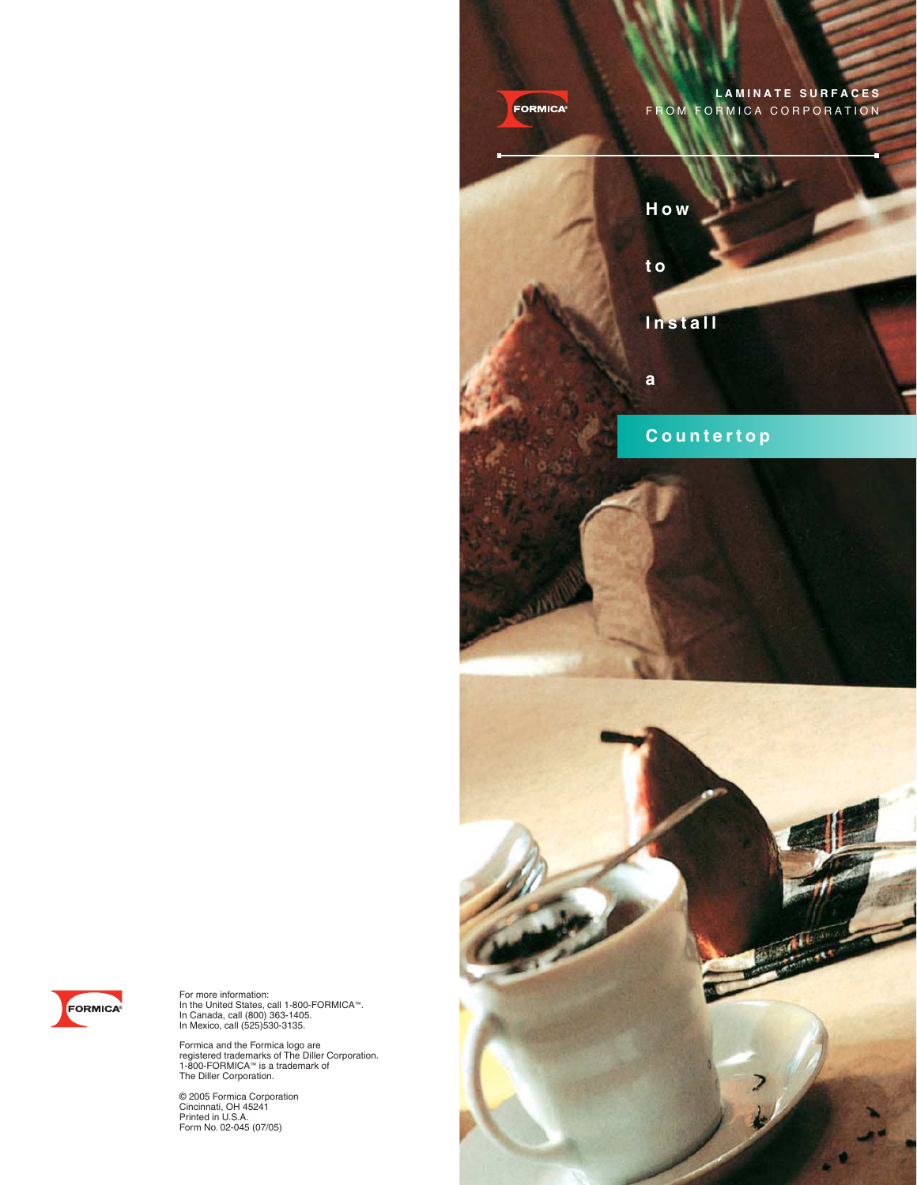



For more information: In the United States, call 1-800-FORMICA™. In Canada, call (800) 363-1405. In Mexico, call (525)530-3135.

Formica and the Formica logo are<br>registered trademarks of The Diller Corporation.<br>1-800-FORMICA™ is a trademark of<br>The Diller Corporation.

© 2005 Formica Corporation Cincinnati, OH 45241 Printed in U.S.A. Form No. 02-045 (07/05)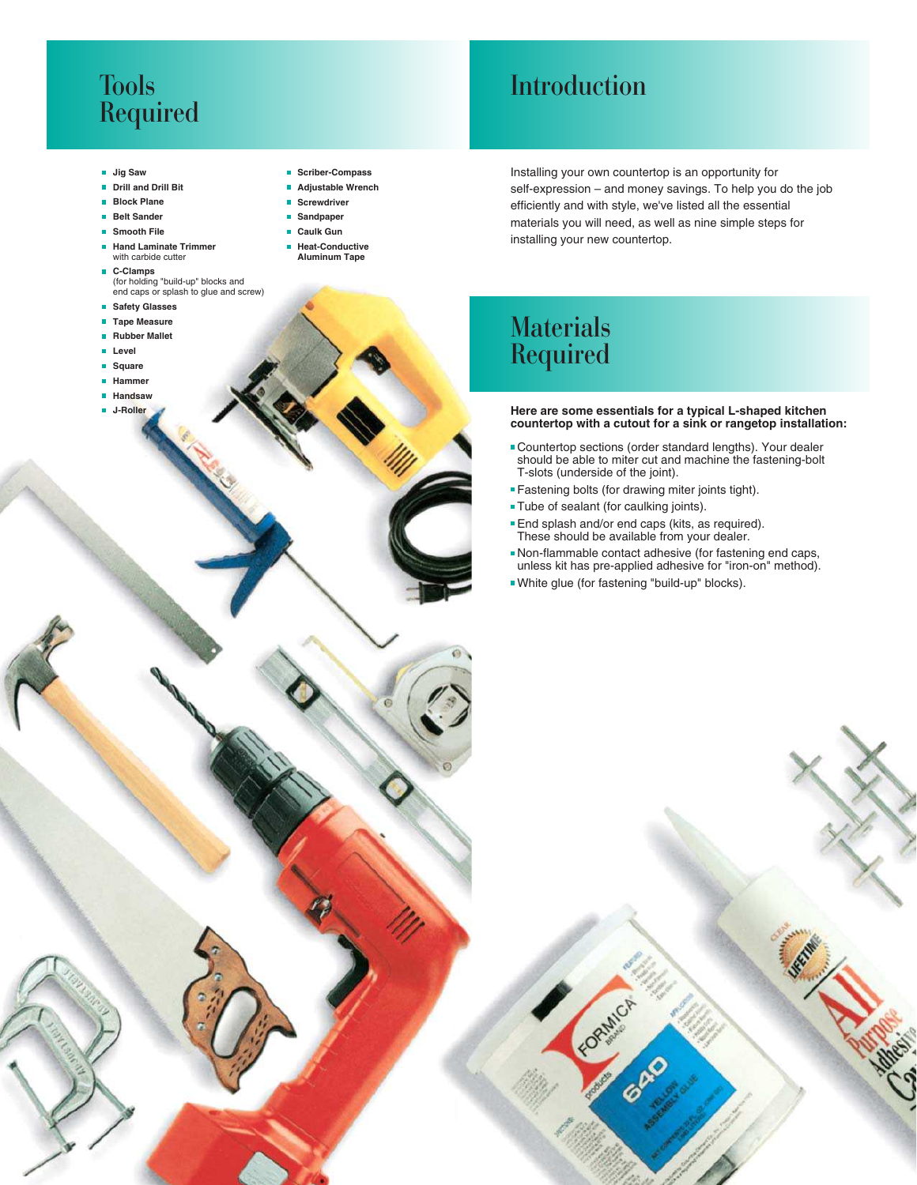### Tools Required

#### **Jig Saw**

- **Drill and Drill Bit**
- **Block Plane**
- **Belt Sander**
- **Smooth File**
- **Hand Laminate Trimmer** with carbide cutter
- **C-Clamps** (for holding "build-up" blocks and end caps or splash to glue and screw)
- **B** Safety Glasses
- **Tape Measure**
- **Rubber Mallet**
- **Level**
- **Square**
- **Hammer**
- **Handsaw**
- **J-Roller**
- E **Scriber-Compass**
- **Adjustable Wrench**
- **Screwdriver**
- **Sandpaper** Ĥ.
- **Caulk Gun**
- **Heat-Conductive Aluminum Tape**

Introduction

Installing your own countertop is an opportunity for self-expression – and money savings. To help you do the job efficiently and with style, we've listed all the essential materials you will need, as well as nine simple steps for installing your new countertop.

### **Materials** Required

**Here are some essentials for a typical L-shaped kitchen countertop with a cutout for a sink or rangetop installation:**

- Countertop sections (order standard lengths). Your dealer should be able to miter cut and machine the fastening-bolt T-slots (underside of the joint).
- Fastening bolts (for drawing miter joints tight).
- **Tube of sealant (for caulking joints).**
- **End splash and/or end caps (kits, as required).** These should be available from your dealer.
- Non-flammable contact adhesive (for fastening end caps, unless kit has pre-applied adhesive for "iron-on" method).
- White glue (for fastening "build-up" blocks).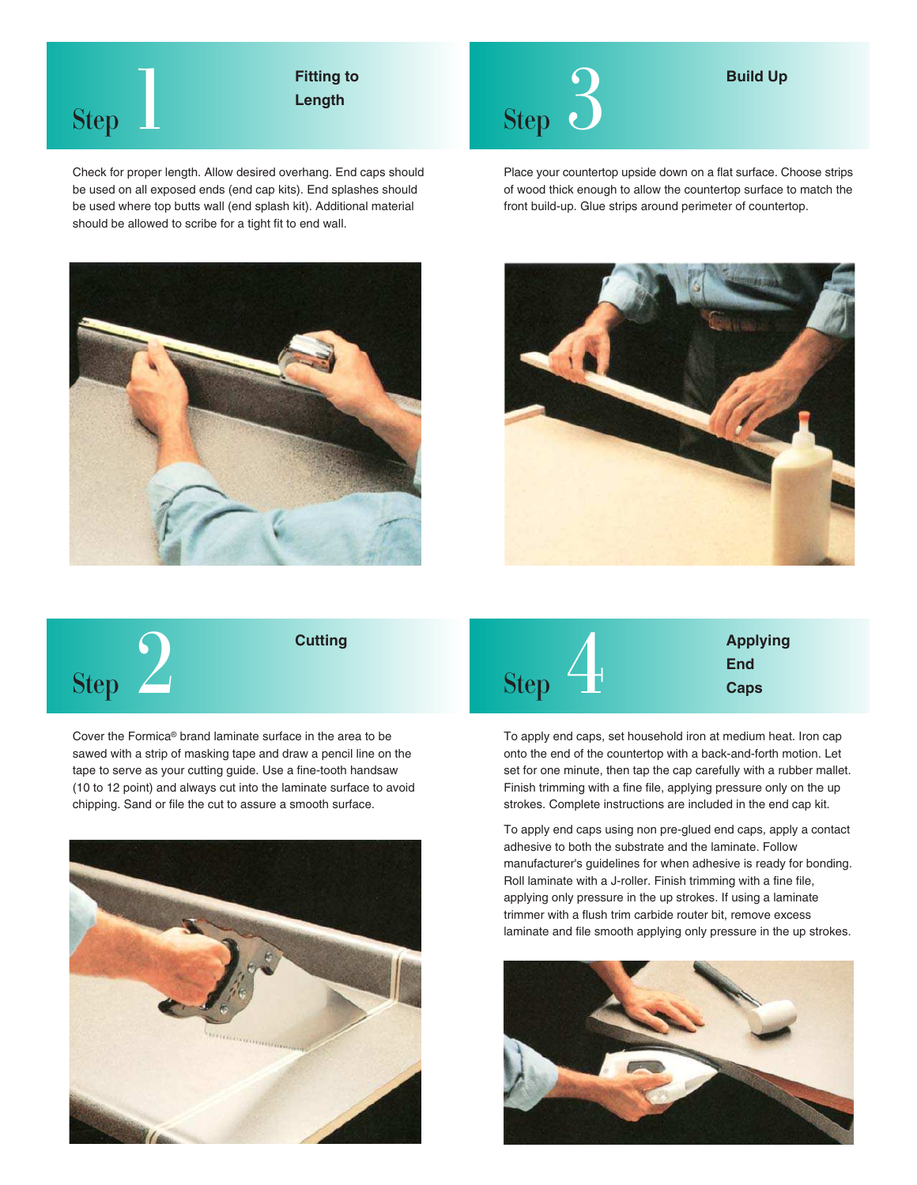

# **Length**

Check for proper length. Allow desired overhang. End caps should be used on all exposed ends (end cap kits). End splashes should be used where top butts wall (end splash kit). Additional material should be allowed to scribe for a tight fit to end wall.





**Build Up**

Place your countertop upside down on a flat surface. Choose strips of wood thick enough to allow the countertop surface to match the front build-up. Glue strips around perimeter of countertop.





Cover the Formica® brand laminate surface in the area to be sawed with a strip of masking tape and draw a pencil line on the tape to serve as your cutting guide. Use a fine-tooth handsaw (10 to 12 point) and always cut into the laminate surface to avoid chipping. Sand or file the cut to assure a smooth surface.



Step<sup>1</sup> **Applying End Caps**

To apply end caps, set household iron at medium heat. Iron cap onto the end of the countertop with a back-and-forth motion. Let set for one minute, then tap the cap carefully with a rubber mallet. Finish trimming with a fine file, applying pressure only on the up strokes. Complete instructions are included in the end cap kit.

To apply end caps using non pre-glued end caps, apply a contact adhesive to both the substrate and the laminate. Follow manufacturer's guidelines for when adhesive is ready for bonding. Roll laminate with a J-roller. Finish trimming with a fine file, applying only pressure in the up strokes. If using a laminate trimmer with a flush trim carbide router bit, remove excess laminate and file smooth applying only pressure in the up strokes.

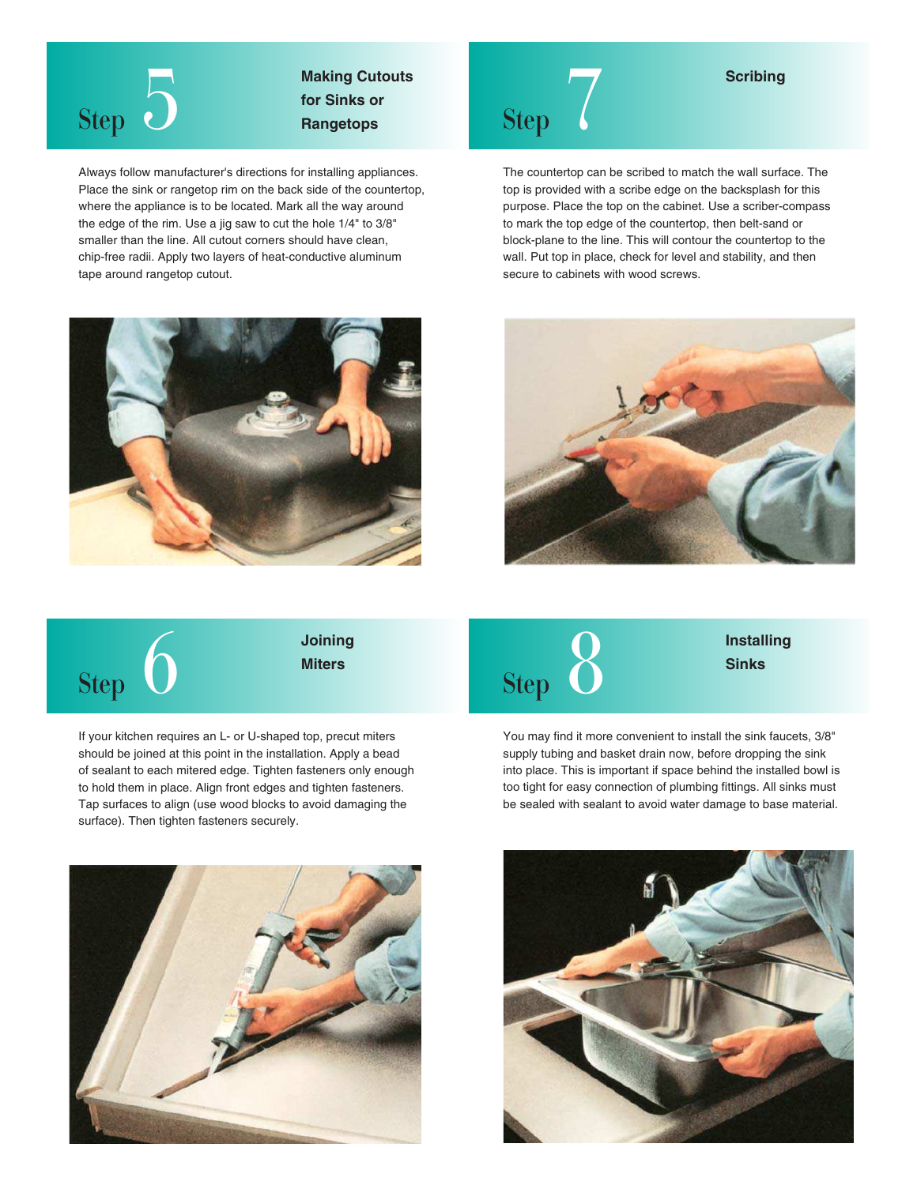

**Making Cutouts for Sinks or Rangetops** Step

Always follow manufacturer's directions for installing appliances. Place the sink or rangetop rim on the back side of the countertop, where the appliance is to be located. Mark all the way around the edge of the rim. Use a jig saw to cut the hole 1/4" to 3/8" smaller than the line. All cutout corners should have clean, chip-free radii. Apply two layers of heat-conductive aluminum tape around rangetop cutout.





The countertop can be scribed to match the wall surface. The top is provided with a scribe edge on the backsplash for this purpose. Place the top on the cabinet. Use a scriber-compass to mark the top edge of the countertop, then belt-sand or block-plane to the line. This will contour the countertop to the wall. Put top in place, check for level and stability, and then secure to cabinets with wood screws.

**Scribing**





**Joining Miters**

If your kitchen requires an L- or U-shaped top, precut miters should be joined at this point in the installation. Apply a bead of sealant to each mitered edge. Tighten fasteners only enough to hold them in place. Align front edges and tighten fasteners. Tap surfaces to align (use wood blocks to avoid damaging the surface). Then tighten fasteners securely.



**Installing Sinks**

You may find it more convenient to install the sink faucets, 3/8" supply tubing and basket drain now, before dropping the sink into place. This is important if space behind the installed bowl is too tight for easy connection of plumbing fittings. All sinks must be sealed with sealant to avoid water damage to base material.